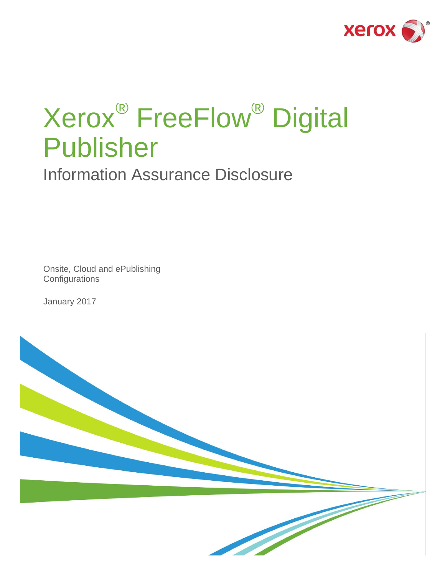

# Xerox® FreeFlow® Digital Publisher

Information Assurance Disclosure

Onsite, Cloud and ePublishing **Configurations** 

January 2017

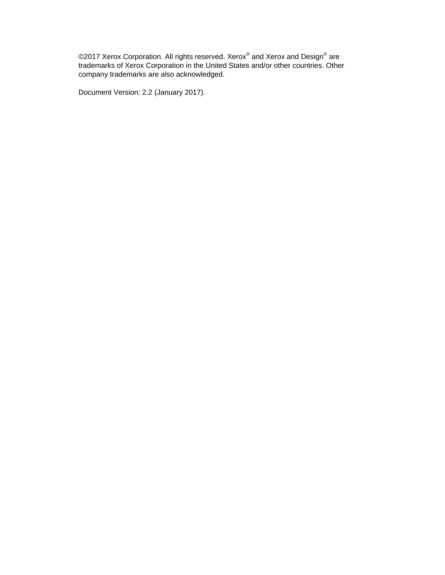©2017 Xerox Corporation. All rights reserved. Xerox $^{\circledast}$  and Xerox and Design $^{\circledast}$  are trademarks of Xerox Corporation in the United States and/or other countries. Other company trademarks are also acknowledged.

Document Version: 2.2 (January 2017).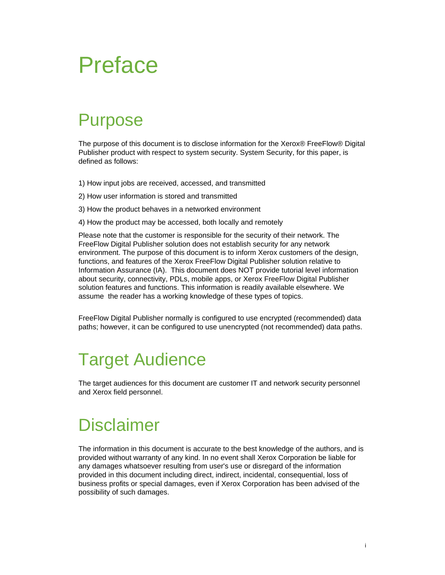### Preface

### <span id="page-2-0"></span>Purpose

The purpose of this document is to disclose information for the Xerox® FreeFlow® Digital Publisher product with respect to system security. System Security, for this paper, is defined as follows:

- 1) How input jobs are received, accessed, and transmitted
- 2) How user information is stored and transmitted
- 3) How the product behaves in a networked environment
- 4) How the product may be accessed, both locally and remotely

Please note that the customer is responsible for the security of their network. The FreeFlow Digital Publisher solution does not establish security for any network environment. The purpose of this document is to inform Xerox customers of the design, functions, and features of the Xerox FreeFlow Digital Publisher solution relative to Information Assurance (IA). This document does NOT provide tutorial level information about security, connectivity, PDLs, mobile apps, or Xerox FreeFlow Digital Publisher solution features and functions. This information is readily available elsewhere. We assume the reader has a working knowledge of these types of topics.

FreeFlow Digital Publisher normally is configured to use encrypted (recommended) data paths; however, it can be configured to use unencrypted (not recommended) data paths.

### <span id="page-2-1"></span>Target Audience

The target audiences for this document are customer IT and network security personnel and Xerox field personnel.

### <span id="page-2-2"></span>**Disclaimer**

The information in this document is accurate to the best knowledge of the authors, and is provided without warranty of any kind. In no event shall Xerox Corporation be liable for any damages whatsoever resulting from user's use or disregard of the information provided in this document including direct, indirect, incidental, consequential, loss of business profits or special damages, even if Xerox Corporation has been advised of the possibility of such damages.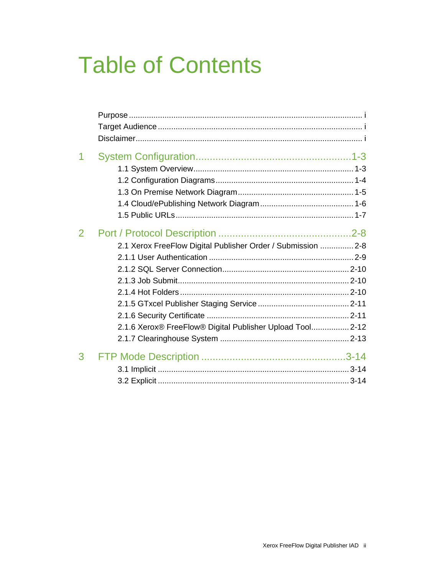# **Table of Contents**

| 2 | 2.1 Xerox FreeFlow Digital Publisher Order / Submission  2-8 |  |
|---|--------------------------------------------------------------|--|
|   |                                                              |  |
|   |                                                              |  |
|   | 2.1.6 Xerox® FreeFlow® Digital Publisher Upload Tool 2-12    |  |
| 3 |                                                              |  |
|   |                                                              |  |
|   |                                                              |  |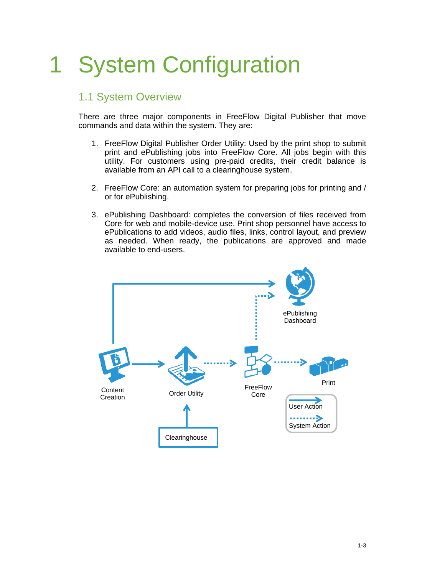# <span id="page-4-0"></span>1 System Configuration

#### <span id="page-4-1"></span>1.1 System Overview

There are three major components in FreeFlow Digital Publisher that move commands and data within the system. They are:

- 1. FreeFlow Digital Publisher Order Utility: Used by the print shop to submit print and ePublishing jobs into FreeFlow Core. All jobs begin with this utility. For customers using pre-paid credits, their credit balance is available from an API call to a clearinghouse system.
- 2. FreeFlow Core: an automation system for preparing jobs for printing and / or for ePublishing.
- 3. ePublishing Dashboard: completes the conversion of files received from Core for web and mobile-device use. Print shop personnel have access to ePublications to add videos, audio files, links, control layout, and preview as needed. When ready, the publications are approved and made available to end-users.

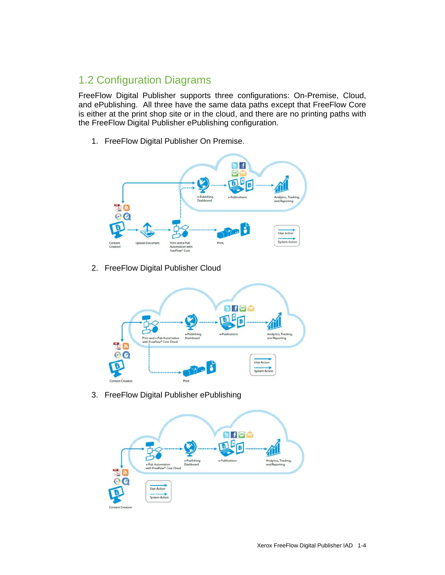### <span id="page-5-0"></span>1.2 Configuration Diagrams

FreeFlow Digital Publisher supports three configurations: On-Premise, Cloud, and ePublishing. All three have the same data paths except that FreeFlow Core is either at the print shop site or in the cloud, and there are no printing paths with the FreeFlow Digital Publisher ePublishing configuration.

1. FreeFlow Digital Publisher On Premise.



2. FreeFlow Digital Publisher Cloud



3. FreeFlow Digital Publisher ePublishing

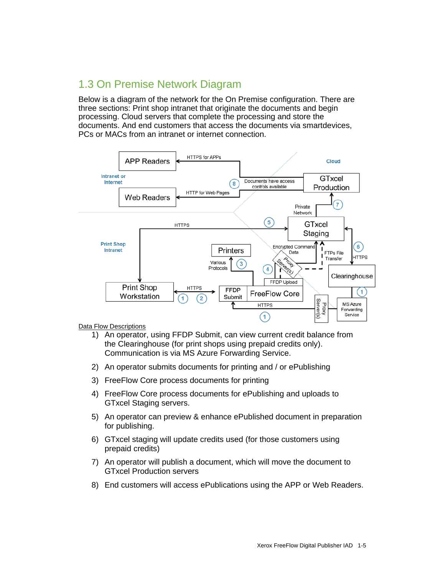#### <span id="page-6-0"></span>1.3 On Premise Network Diagram

Below is a diagram of the network for the On Premise configuration. There are three sections: Print shop intranet that originate the documents and begin processing. Cloud servers that complete the processing and store the documents. And end customers that access the documents via smartdevices, PCs or MACs from an intranet or internet connection.



#### **Data Flow Descriptions**

- 1) An operator, using FFDP Submit, can view current credit balance from the Clearinghouse (for print shops using prepaid credits only). Communication is via MS Azure Forwarding Service.
- 2) An operator submits documents for printing and / or ePublishing
- 3) FreeFlow Core process documents for printing
- 4) FreeFlow Core process documents for ePublishing and uploads to GTxcel Staging servers.
- 5) An operator can preview & enhance ePublished document in preparation for publishing.
- 6) GTxcel staging will update credits used (for those customers using prepaid credits)
- 7) An operator will publish a document, which will move the document to GTxcel Production servers
- 8) End customers will access ePublications using the APP or Web Readers.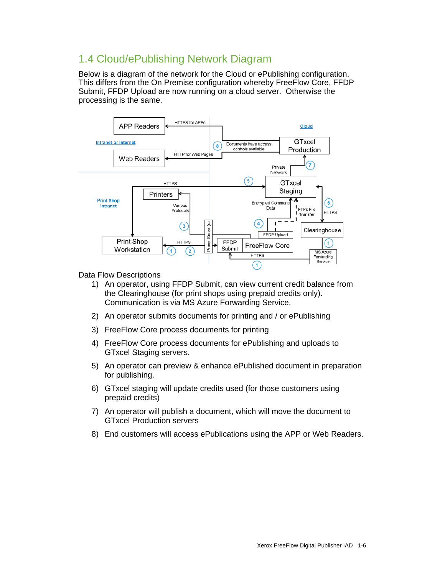#### <span id="page-7-0"></span>1.4 Cloud/ePublishing Network Diagram

Below is a diagram of the network for the Cloud or ePublishing configuration. This differs from the On Premise configuration whereby FreeFlow Core, FFDP Submit, FFDP Upload are now running on a cloud server. Otherwise the processing is the same.



Data Flow Descriptions

- 1) An operator, using FFDP Submit, can view current credit balance from the Clearinghouse (for print shops using prepaid credits only). Communication is via MS Azure Forwarding Service.
- 2) An operator submits documents for printing and / or ePublishing
- 3) FreeFlow Core process documents for printing
- 4) FreeFlow Core process documents for ePublishing and uploads to GTxcel Staging servers.
- 5) An operator can preview & enhance ePublished document in preparation for publishing.
- 6) GTxcel staging will update credits used (for those customers using prepaid credits)
- 7) An operator will publish a document, which will move the document to GTxcel Production servers
- 8) End customers will access ePublications using the APP or Web Readers.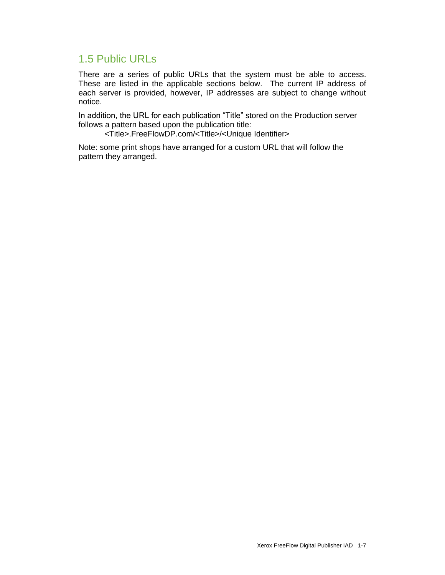#### <span id="page-8-0"></span>1.5 Public URLs

There are a series of public URLs that the system must be able to access. These are listed in the applicable sections below. The current IP address of each server is provided, however, IP addresses are subject to change without notice.

In addition, the URL for each publication "Title" stored on the Production server follows a pattern based upon the publication title:

<Title>.FreeFlowDP.com/<Title>/<Unique Identifier>

Note: some print shops have arranged for a custom URL that will follow the pattern they arranged.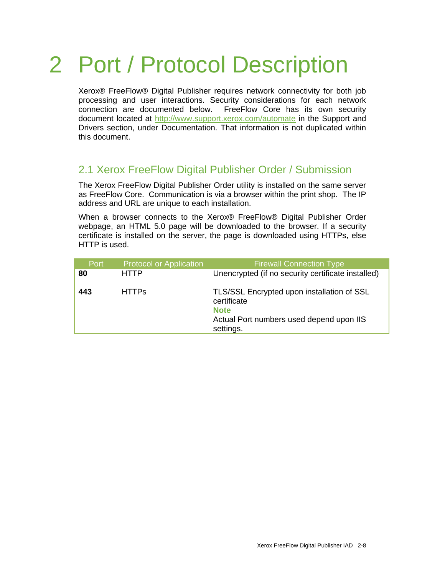# <span id="page-9-0"></span>2 Port / Protocol Description

Xerox® FreeFlow® Digital Publisher requires network connectivity for both job processing and user interactions. Security considerations for each network connection are documented below. FreeFlow Core has its own security document located at<http://www.support.xerox.com/automate> in the Support and Drivers section, under Documentation. That information is not duplicated within this document.

#### <span id="page-9-1"></span>2.1 Xerox FreeFlow Digital Publisher Order / Submission

The Xerox FreeFlow Digital Publisher Order utility is installed on the same server as FreeFlow Core. Communication is via a browser within the print shop. The IP address and URL are unique to each installation.

When a browser connects to the Xerox® FreeFlow® Digital Publisher Order webpage, an HTML 5.0 page will be downloaded to the browser. If a security certificate is installed on the server, the page is downloaded using HTTPs, else HTTP is used.

| Port | <b>Protocol or Application</b> | <b>Firewall Connection Type</b>                                                                                                   |
|------|--------------------------------|-----------------------------------------------------------------------------------------------------------------------------------|
| 80   | <b>HTTP</b>                    | Unencrypted (if no security certificate installed)                                                                                |
| 443  | <b>HTTPs</b>                   | TLS/SSL Encrypted upon installation of SSL<br>certificate<br><b>Note</b><br>Actual Port numbers used depend upon IIS<br>settings. |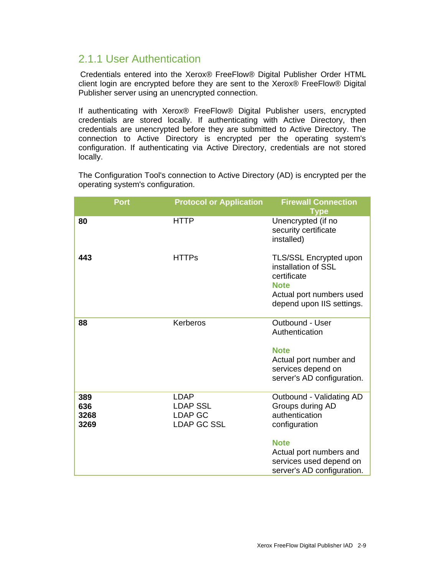#### <span id="page-10-0"></span>2.1.1 User Authentication

Credentials entered into the Xerox® FreeFlow® Digital Publisher Order HTML client login are encrypted before they are sent to the Xerox® FreeFlow® Digital Publisher server using an unencrypted connection.

If authenticating with Xerox® FreeFlow® Digital Publisher users, encrypted credentials are stored locally. If authenticating with Active Directory, then credentials are unencrypted before they are submitted to Active Directory. The connection to Active Directory is encrypted per the operating system's configuration. If authenticating via Active Directory, credentials are not stored locally.

The Configuration Tool's connection to Active Directory (AD) is encrypted per the operating system's configuration.

| <b>Port</b>                | <b>Protocol or Application</b>                                         | <b>Firewall Connection</b>                                                                                                                                                         |
|----------------------------|------------------------------------------------------------------------|------------------------------------------------------------------------------------------------------------------------------------------------------------------------------------|
|                            |                                                                        | <b>Type</b>                                                                                                                                                                        |
| 80                         | <b>HTTP</b>                                                            | Unencrypted (if no<br>security certificate<br>installed)                                                                                                                           |
| 443                        | <b>HTTPs</b>                                                           | TLS/SSL Encrypted upon<br>installation of SSL<br>certificate<br><b>Note</b><br>Actual port numbers used<br>depend upon IIS settings.                                               |
| 88                         | Kerberos                                                               | Outbound - User<br>Authentication<br><b>Note</b><br>Actual port number and<br>services depend on<br>server's AD configuration.                                                     |
| 389<br>636<br>3268<br>3269 | <b>LDAP</b><br><b>LDAP SSL</b><br><b>LDAP GC</b><br><b>LDAP GC SSL</b> | Outbound - Validating AD<br>Groups during AD<br>authentication<br>configuration<br><b>Note</b><br>Actual port numbers and<br>services used depend on<br>server's AD configuration. |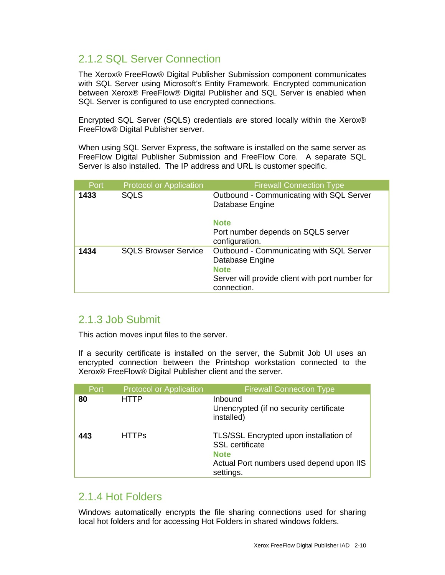#### <span id="page-11-0"></span>2.1.2 SQL Server Connection

The Xerox® FreeFlow® Digital Publisher Submission component communicates with SQL Server using Microsoft's Entity Framework. Encrypted communication between Xerox® FreeFlow® Digital Publisher and SQL Server is enabled when SQL Server is configured to use encrypted connections.

Encrypted SQL Server (SQLS) credentials are stored locally within the Xerox® FreeFlow® Digital Publisher server.

When using SQL Server Express, the software is installed on the same server as FreeFlow Digital Publisher Submission and FreeFlow Core. A separate SQL Server is also installed. The IP address and URL is customer specific.

| Port | <b>Protocol or Application</b> | <b>Firewall Connection Type</b>                                                                                                              |
|------|--------------------------------|----------------------------------------------------------------------------------------------------------------------------------------------|
| 1433 | <b>SQLS</b>                    | Outbound - Communicating with SQL Server<br>Database Engine                                                                                  |
|      |                                | <b>Note</b><br>Port number depends on SQLS server<br>configuration.                                                                          |
| 1434 | <b>SQLS Browser Service</b>    | Outbound - Communicating with SQL Server<br>Database Engine<br><b>Note</b><br>Server will provide client with port number for<br>connection. |

#### <span id="page-11-1"></span>2.1.3 Job Submit

This action moves input files to the server.

If a security certificate is installed on the server, the Submit Job UI uses an encrypted connection between the Printshop workstation connected to the Xerox® FreeFlow® Digital Publisher client and the server.

| Port | <b>Protocol or Application</b> | <b>Firewall Connection Type</b>                                                                                                          |
|------|--------------------------------|------------------------------------------------------------------------------------------------------------------------------------------|
| 80   | <b>HTTP</b>                    | <b>Inbound</b><br>Unencrypted (if no security certificate<br>installed)                                                                  |
| 443  | <b>HTTPs</b>                   | TLS/SSL Encrypted upon installation of<br><b>SSL</b> certificate<br><b>Note</b><br>Actual Port numbers used depend upon IIS<br>settings. |

#### <span id="page-11-2"></span>2.1.4 Hot Folders

Windows automatically encrypts the file sharing connections used for sharing local hot folders and for accessing Hot Folders in shared windows folders.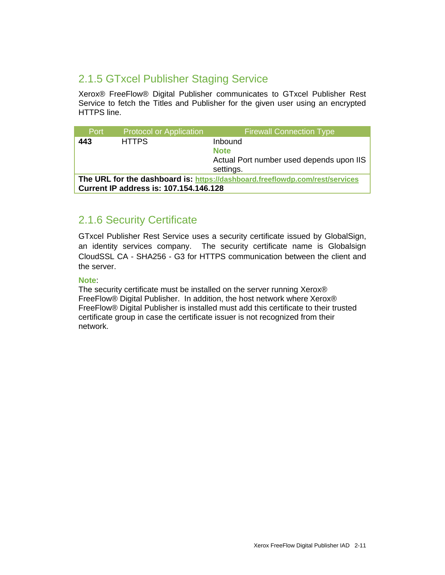#### <span id="page-12-0"></span>2.1.5 GTxcel Publisher Staging Service

Xerox® FreeFlow® Digital Publisher communicates to GTxcel Publisher Rest Service to fetch the Titles and Publisher for the given user using an encrypted HTTPS line.

| Port                                                                         | <b>Protocol or Application</b> | <b>Firewall Connection Type</b>          |
|------------------------------------------------------------------------------|--------------------------------|------------------------------------------|
| 443                                                                          | <b>HTTPS</b>                   | Inbound<br><b>Note</b>                   |
|                                                                              |                                | Actual Port number used depends upon IIS |
|                                                                              |                                | settings.                                |
| The URL for the dashboard is: https://dashboard.freeflowdp.com/rest/services |                                |                                          |
| <b>Current IP address is: 107.154.146.128</b>                                |                                |                                          |

#### <span id="page-12-1"></span>2.1.6 Security Certificate

GTxcel Publisher Rest Service uses a security certificate issued by GlobalSign, an identity services company. The security certificate name is Globalsign CloudSSL CA - SHA256 - G3 for HTTPS communication between the client and the server.

#### **Note**:

The security certificate must be installed on the server running Xerox® FreeFlow® Digital Publisher. In addition, the host network where Xerox® FreeFlow® Digital Publisher is installed must add this certificate to their trusted certificate group in case the certificate issuer is not recognized from their network.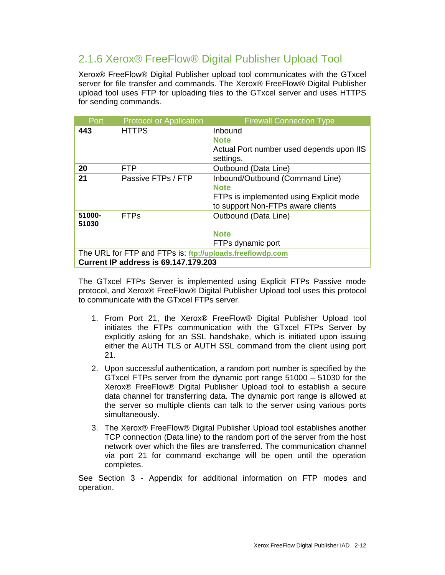#### <span id="page-13-0"></span>2.1.6 Xerox® FreeFlow® Digital Publisher Upload Tool

Xerox® FreeFlow® Digital Publisher upload tool communicates with the GTxcel server for file transfer and commands. The Xerox® FreeFlow® Digital Publisher upload tool uses FTP for uploading files to the GTxcel server and uses HTTPS for sending commands.

| Port                                                      | <b>Protocol or Application</b> | <b>Firewall Connection Type</b>          |
|-----------------------------------------------------------|--------------------------------|------------------------------------------|
| 443                                                       | <b>HTTPS</b>                   | Inbound                                  |
|                                                           |                                | <b>Note</b>                              |
|                                                           |                                | Actual Port number used depends upon IIS |
|                                                           |                                | settings.                                |
| 20                                                        | <b>FTP</b>                     | Outbound (Data Line)                     |
| 21                                                        | Passive FTPs / FTP             | Inbound/Outbound (Command Line)          |
|                                                           |                                | <b>Note</b>                              |
|                                                           |                                | FTPs is implemented using Explicit mode  |
|                                                           |                                | to support Non-FTPs aware clients        |
| 51000-                                                    | <b>FTPs</b>                    | Outbound (Data Line)                     |
| 51030                                                     |                                |                                          |
|                                                           |                                | <b>Note</b>                              |
|                                                           |                                | FTPs dynamic port                        |
| The URL for FTP and FTPs is: ftp://uploads.freeflowdp.com |                                |                                          |
| <b>Current IP address is 69.147.179.203</b>               |                                |                                          |

The GTxcel FTPs Server is implemented using Explicit FTPs Passive mode protocol, and Xerox® FreeFlow® Digital Publisher Upload tool uses this protocol to communicate with the GTxcel FTPs server.

- 1. From Port 21, the Xerox® FreeFlow® Digital Publisher Upload tool initiates the FTPs communication with the GTxcel FTPs Server by explicitly asking for an SSL handshake, which is initiated upon issuing either the AUTH TLS or AUTH SSL command from the client using port 21.
- 2. Upon successful authentication, a random port number is specified by the GTxcel FTPs server from the dynamic port range 51000 – 51030 for the Xerox® FreeFlow® Digital Publisher Upload tool to establish a secure data channel for transferring data. The dynamic port range is allowed at the server so multiple clients can talk to the server using various ports simultaneously.
- 3. The Xerox® FreeFlow® Digital Publisher Upload tool establishes another TCP connection (Data line) to the random port of the server from the host network over which the files are transferred. The communication channel via port 21 for command exchange will be open until the operation completes.

See Section 3 - Appendix for additional information on FTP modes and operation.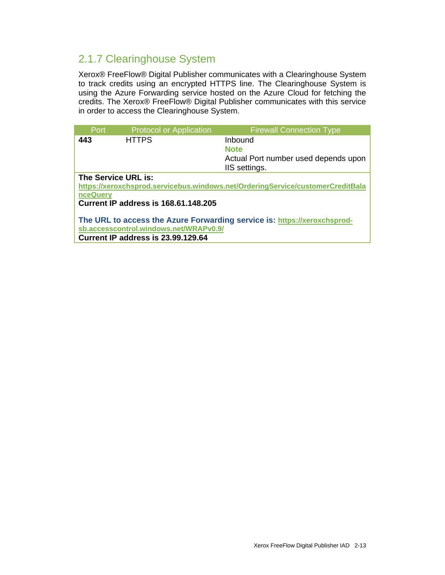### <span id="page-14-0"></span>2.1.7 Clearinghouse System

Xerox® FreeFlow® Digital Publisher communicates with a Clearinghouse System to track credits using an encrypted HTTPS line. The Clearinghouse System is using the Azure Forwarding service hosted on the Azure Cloud for fetching the credits. The Xerox® FreeFlow® Digital Publisher communicates with this service in order to access the Clearinghouse System.

| <b>Port</b>                                                                    | <b>Protocol or Application</b>         | <b>Firewall Connection Type</b>      |
|--------------------------------------------------------------------------------|----------------------------------------|--------------------------------------|
| 443                                                                            | <b>HTTPS</b>                           | Inbound                              |
|                                                                                |                                        | <b>Note</b>                          |
|                                                                                |                                        | Actual Port number used depends upon |
|                                                                                |                                        | IIS settings.                        |
| The Service URL is:                                                            |                                        |                                      |
| https://xeroxchsprod.servicebus.windows.net/OrderingService/customerCreditBala |                                        |                                      |
| nceQuery                                                                       |                                        |                                      |
| <b>Current IP address is 168.61.148.205</b>                                    |                                        |                                      |
|                                                                                |                                        |                                      |
| The URL to access the Azure Forwarding service is: https://xeroxchsprod-       |                                        |                                      |
|                                                                                | sb.accesscontrol.windows.net/WRAPv0.9/ |                                      |
| Current IP address is 23.99.129.64                                             |                                        |                                      |